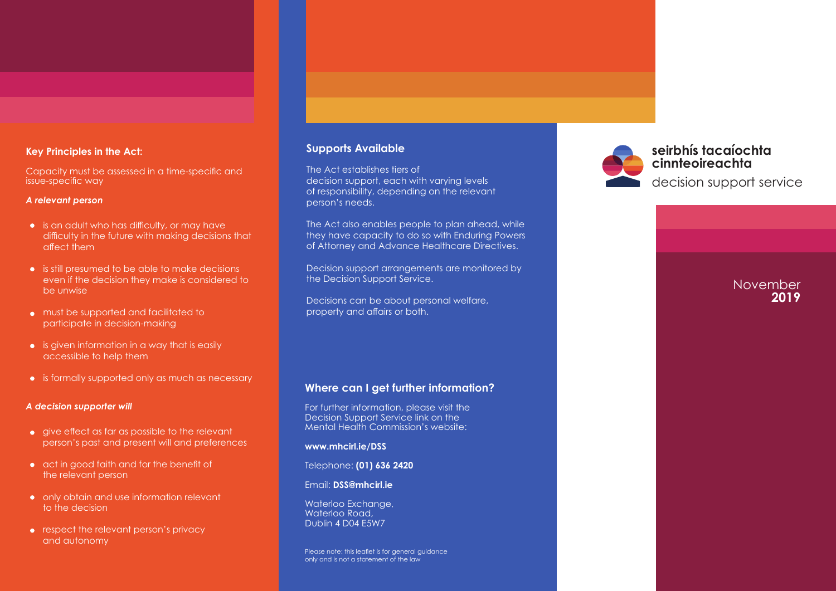### **Key Principles in the Act:**

Capacity must be assessed in a time-specific and issue-specific way

#### *A relevant person*

- $\bullet$  is an adult who has difficulty, or may have difficulty in the future with making decisions that affect them
- is still presumed to be able to make decisions even if the decision they make is considered to be unwise
- must be supported and facilitated to participate in decision-making
- $\bullet$  is given information in a way that is easily accessible to help them
- is formally supported only as much as necessary

#### *A decision supporter will*

- $\bullet$  give effect as far as possible to the relevant person's past and present will and preferences
- act in good faith and for the benefit of the relevant person
- only obtain and use information relevant to the decision
- respect the relevant person's privacy and autonomy

## **Supports Available**

The Act establishes tiers of decision support, each with varying levels of responsibility, depending on the relevant person's needs.

The Act also enables people to plan ahead, while they have capacity to do so with Enduring Powers of Attorney and Advance Healthcare Directives.

Decision support arrangements are monitored by the Decision Support Service.

Decisions can be about personal welfare, property and affairs or both.

## **Where can I get further information?**

For further information, please visit the Decision Support Service link on the Mental Health Commission's website:

**[www.mhcirl.ie/DSS](http://www.mhcirl.ie/DSS)** 

Telephone: **(01) 636 2420** 

Email: **[DSS@mhcirl.ie](mailto:DSS@mhcirl.ie)**

Waterloo Exchange, Waterloo Road, Dublin 4 D04 E5W7

Please note: this leaflet is for general auidance only and is not a statement of the law



**seirbhís tacaíochta cinnteoireachta** decision support service

# **November 2019**